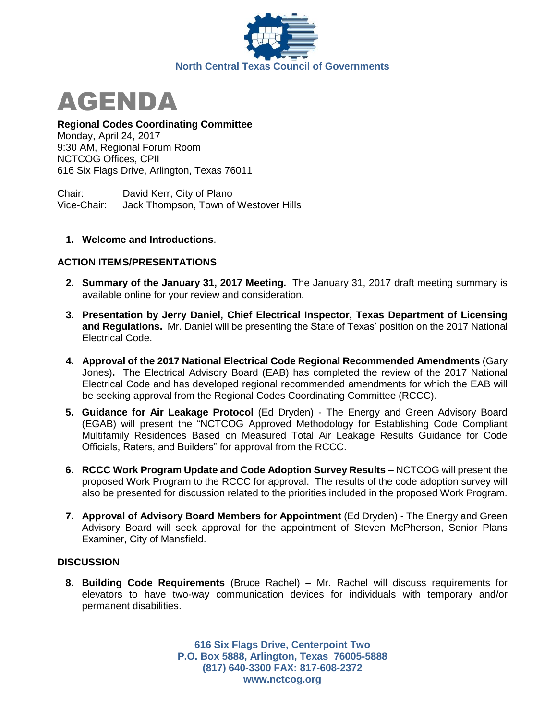



### **Regional Codes Coordinating Committee**

Monday, April 24, 2017 9:30 AM, Regional Forum Room NCTCOG Offices, CPII 616 Six Flags Drive, Arlington, Texas 76011

Chair: David Kerr, City of Plano Vice-Chair: Jack Thompson, Town of Westover Hills

### **1. Welcome and Introductions**.

### **ACTION ITEMS/PRESENTATIONS**

- **2. Summary of the January 31, 2017 Meeting.** The January 31, 2017 draft meeting summary is available online for your review and consideration.
- **3. Presentation by Jerry Daniel, Chief Electrical Inspector, Texas Department of Licensing and Regulations.** Mr. Daniel will be presenting the State of Texas' position on the 2017 National Electrical Code.
- **4. Approval of the 2017 National Electrical Code Regional Recommended Amendments** (Gary Jones)**.** The Electrical Advisory Board (EAB) has completed the review of the 2017 National Electrical Code and has developed regional recommended amendments for which the EAB will be seeking approval from the Regional Codes Coordinating Committee (RCCC).
- **5. Guidance for Air Leakage Protocol** (Ed Dryden) The Energy and Green Advisory Board (EGAB) will present the "NCTCOG Approved Methodology for Establishing Code Compliant Multifamily Residences Based on Measured Total Air Leakage Results Guidance for Code Officials, Raters, and Builders" for approval from the RCCC.
- **6. RCCC Work Program Update and Code Adoption Survey Results** NCTCOG will present the proposed Work Program to the RCCC for approval. The results of the code adoption survey will also be presented for discussion related to the priorities included in the proposed Work Program.
- **7. Approval of Advisory Board Members for Appointment** (Ed Dryden) The Energy and Green Advisory Board will seek approval for the appointment of Steven McPherson, Senior Plans Examiner, City of Mansfield.

# **DISCUSSION**

**8. Building Code Requirements** (Bruce Rachel) – Mr. Rachel will discuss requirements for elevators to have two-way communication devices for individuals with temporary and/or permanent disabilities.

> **616 Six Flags Drive, Centerpoint Two P.O. Box 5888, Arlington, Texas 76005-5888 (817) 640-3300 FAX: 817-608-2372 www.nctcog.org**